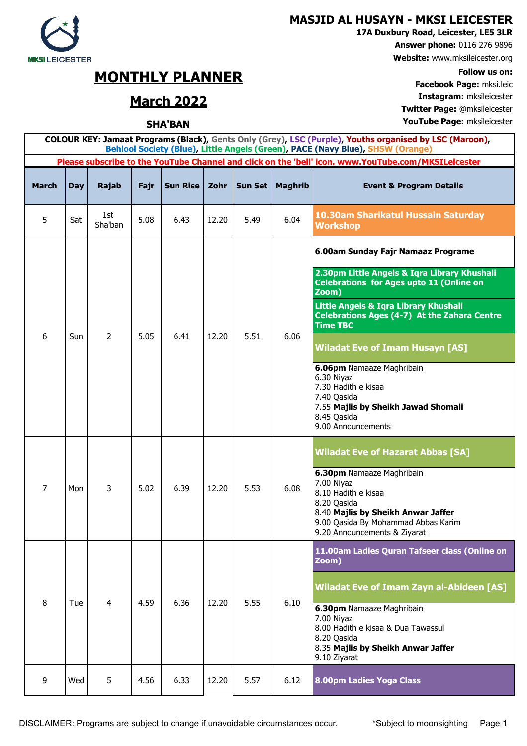## **MASJID AL HUSAYN - MKSI LEICESTER**

**17A Duxbury Road, Leicester, LE5 3LR**

**Answer phone:** 0116 276 9896

**Website:** www.mksileicester.org

**Facebook Page:** mksi.leic **March 2022 Instagram:** mksileicester **Twitter Page:** @mksileicester

**SHA'BAN YouTube Page:** mksileicester

## **MKSILEICESTER**

## **MONTHLY PLANNER** Follow us on:<br> **Facebook Page:** mksi leic

| COLOUR KEY: Jamaat Programs (Black), Gents Only (Grey), LSC (Purple), Youths organised by LSC (Maroon),<br>Behlool Society (Blue), Little Angels (Green), PACE (Navy Blue), SHSW (Orange) |            |                |      |                 |                                                                                                     |                |                |                                                                                                                                                                                                       |  |
|-------------------------------------------------------------------------------------------------------------------------------------------------------------------------------------------|------------|----------------|------|-----------------|-----------------------------------------------------------------------------------------------------|----------------|----------------|-------------------------------------------------------------------------------------------------------------------------------------------------------------------------------------------------------|--|
|                                                                                                                                                                                           |            |                |      |                 | Please subscribe to the YouTube Channel and click on the 'bell' icon. www.YouTube.com/MKSILeicester |                |                |                                                                                                                                                                                                       |  |
| <b>March</b>                                                                                                                                                                              | <b>Day</b> | <b>Rajab</b>   | Fajr | <b>Sun Rise</b> | Zohr                                                                                                | <b>Sun Set</b> | <b>Maghrib</b> | <b>Event &amp; Program Details</b>                                                                                                                                                                    |  |
| 5                                                                                                                                                                                         | Sat        | 1st<br>Sha'ban | 5.08 | 6.43            | 12.20                                                                                               | 5.49           | 6.04           | 10.30am Sharikatul Hussain Saturday<br><b>Workshop</b>                                                                                                                                                |  |
| 6                                                                                                                                                                                         | Sun        | 2              | 5.05 | 6.41            | 12.20                                                                                               | 5.51           | 6.06           | 6.00am Sunday Fajr Namaaz Programe                                                                                                                                                                    |  |
|                                                                                                                                                                                           |            |                |      |                 |                                                                                                     |                |                | 2.30pm Little Angels & Iqra Library Khushali<br><b>Celebrations for Ages upto 11 (Online on</b><br>Zoom)                                                                                              |  |
|                                                                                                                                                                                           |            |                |      |                 |                                                                                                     |                |                | Little Angels & Iqra Library Khushali<br>Celebrations Ages (4-7) At the Zahara Centre<br><b>Time TBC</b>                                                                                              |  |
|                                                                                                                                                                                           |            |                |      |                 |                                                                                                     |                |                | <b>Wiladat Eve of Imam Husayn [AS]</b>                                                                                                                                                                |  |
|                                                                                                                                                                                           |            |                |      |                 |                                                                                                     |                |                | 6.06pm Namaaze Maghribain<br>6.30 Niyaz<br>7.30 Hadith e kisaa<br>7.40 Qasida<br>7.55 Majlis by Sheikh Jawad Shomali<br>8.45 Qasida<br>9.00 Announcements                                             |  |
|                                                                                                                                                                                           |            |                |      |                 |                                                                                                     |                |                | <b>Wiladat Eve of Hazarat Abbas [SA]</b>                                                                                                                                                              |  |
| 7                                                                                                                                                                                         | Mon        | 3              | 5.02 | 6.39            | 12.20                                                                                               | 5.53           | 6.08           | 6.30pm Namaaze Maghribain<br>7.00 Niyaz<br>8.10 Hadith e kisaa<br>8.20 Qasida<br>8.40 Majlis by Sheikh Anwar Jaffer<br>9.00 Qasida By Mohammad Abbas Karim<br>9.20 Announcements & Ziyarat            |  |
|                                                                                                                                                                                           | Tue        | $\overline{4}$ | 4.59 | 6.36            | 12.20                                                                                               | 5.55           | 6.10           | 11.00am Ladies Quran Tafseer class (Online on<br>Zoom)                                                                                                                                                |  |
| 8                                                                                                                                                                                         |            |                |      |                 |                                                                                                     |                |                | <b>Wiladat Eve of Imam Zayn al-Abideen [AS]</b><br>6.30pm Namaaze Maghribain<br>7.00 Niyaz<br>8.00 Hadith e kisaa & Dua Tawassul<br>8.20 Qasida<br>8.35 Majlis by Sheikh Anwar Jaffer<br>9.10 Ziyarat |  |
| 9                                                                                                                                                                                         | Wed        | 5              | 4.56 | 6.33            | 12.20                                                                                               | 5.57           | 6.12           | 8.00pm Ladies Yoga Class                                                                                                                                                                              |  |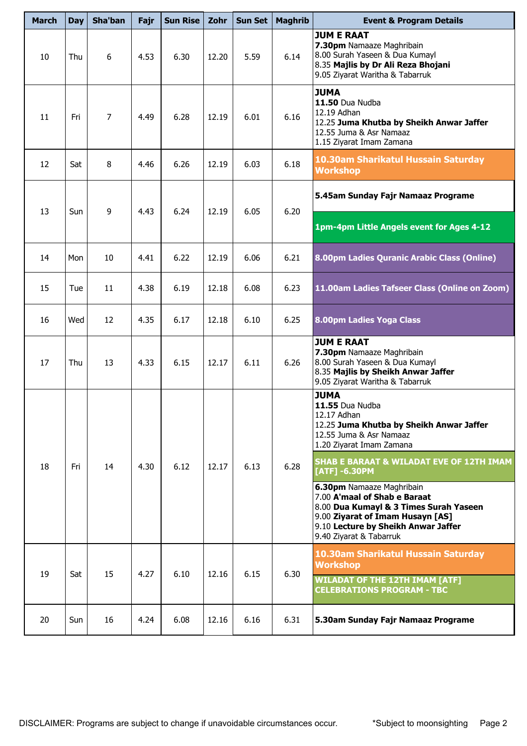| <b>March</b> | <b>Day</b> | Sha'ban        | Fajr | <b>Sun Rise</b> | Zohr  | Sun Set | <b>Maghrib</b> | <b>Event &amp; Program Details</b>                                                                                                                                                                        |
|--------------|------------|----------------|------|-----------------|-------|---------|----------------|-----------------------------------------------------------------------------------------------------------------------------------------------------------------------------------------------------------|
| 10           | Thu        | 6              | 4.53 | 6.30            | 12.20 | 5.59    | 6.14           | <b>JUM E RAAT</b><br>7.30pm Namaaze Maghribain<br>8.00 Surah Yaseen & Dua Kumayl<br>8.35 Majlis by Dr Ali Reza Bhojani<br>9.05 Ziyarat Waritha & Tabarruk                                                 |
| 11           | Fri        | $\overline{7}$ | 4.49 | 6.28            | 12.19 | 6.01    | 6.16           | <b>JUMA</b><br>11.50 Dua Nudba<br>12.19 Adhan<br>12.25 Juma Khutba by Sheikh Anwar Jaffer<br>12.55 Juma & Asr Namaaz<br>1.15 Ziyarat Imam Zamana                                                          |
| 12           | Sat        | 8              | 4.46 | 6.26            | 12.19 | 6.03    | 6.18           | 10.30am Sharikatul Hussain Saturday<br><b>Workshop</b>                                                                                                                                                    |
|              |            |                |      | 6.24            |       |         | 6.20           | 5.45am Sunday Fajr Namaaz Programe                                                                                                                                                                        |
| 13           | Sun        | 9              | 4.43 |                 | 12.19 | 6.05    |                | 1pm-4pm Little Angels event for Ages 4-12                                                                                                                                                                 |
| 14           | Mon        | 10             | 4.41 | 6.22            | 12.19 | 6.06    | 6.21           | 8.00pm Ladies Quranic Arabic Class (Online)                                                                                                                                                               |
| 15           | Tue        | 11             | 4.38 | 6.19            | 12.18 | 6.08    | 6.23           | 11.00am Ladies Tafseer Class (Online on Zoom)                                                                                                                                                             |
| 16           | Wed        | 12             | 4.35 | 6.17            | 12.18 | 6.10    | 6.25           | 8.00pm Ladies Yoga Class                                                                                                                                                                                  |
| 17           | Thu        | 13             | 4.33 | 6.15            | 12.17 | 6.11    | 6.26           | <b>JUM E RAAT</b><br>7.30pm Namaaze Maghribain<br>8.00 Surah Yaseen & Dua Kumayl<br>8.35 Majlis by Sheikh Anwar Jaffer<br>9.05 Ziyarat Waritha & Tabarruk                                                 |
|              |            |                |      |                 |       |         |                | <b>JUMA</b><br>11.55 Dua Nudba<br>12.17 Adhan<br>12.25 Juma Khutba by Sheikh Anwar Jaffer<br>12.55 Juma & Asr Namaaz<br>1.20 Ziyarat Imam Zamana                                                          |
| 18           | Fri        | 14             | 4.30 | 6.12            | 12.17 | 6.13    | 6.28           | <b>SHAB E BARAAT &amp; WILADAT EVE OF 12TH IMAM</b><br>$[ATT] -6.30PM$                                                                                                                                    |
|              |            |                |      |                 |       |         |                | 6.30pm Namaaze Maghribain<br>7.00 A'maal of Shab e Baraat<br>8.00 Dua Kumayl & 3 Times Surah Yaseen<br>9.00 Ziyarat of Imam Husayn [AS]<br>9.10 Lecture by Sheikh Anwar Jaffer<br>9.40 Ziyarat & Tabarruk |
| 19           | Sat        | 15             | 4.27 | 6.10            | 12.16 | 6.15    | 6.30           | 10.30am Sharikatul Hussain Saturday<br><b>Workshop</b><br><b>WILADAT OF THE 12TH IMAM [ATF]</b>                                                                                                           |
|              |            |                |      |                 |       |         |                | <b>CELEBRATIONS PROGRAM - TBC</b>                                                                                                                                                                         |
| 20           | Sun        | 16             | 4.24 | 6.08            | 12.16 | 6.16    | 6.31           | 5.30am Sunday Fajr Namaaz Programe                                                                                                                                                                        |